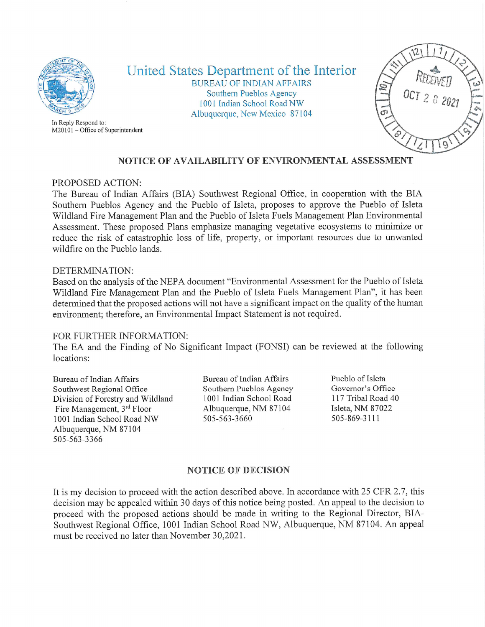

In Reply Respond to:

United States Department of the Interior BUREAU OF INDIAN AFFAIRS Southern Pueblos Agency 1001 Indian School Road NW Albuquerque, New Mexico 87104



# NOTICE OF AVAILABILITY OF ENVIRONMENTAL ASSESSMENT

## PROPOSED ACTION:

M20101 - Office of Superintendent

The Bureau of Indian Affairs (BIA) Sorithwest Regional Office, in cooperation with the BIA Southern Pueblos Agency and the Pueblo of Isleta, proposes to approve the Pueblo of Isleta Wildland Fire Management Plan and the Pueblo of Isleta Fuels Management Plan Environmental Assessment. These proposed Plans emphasize managing vegetative ecosystems to minimize or reduce the risk of catastrophic loss of life, property, or important resources due to unwanted wildfire on the Pueblo lands.

### DETERMINATION:

Based on the analysis of the NEPA document "Environmental Assessment for the Pueblo of Isleta Wildland Fire Management Plan and the Pueblo of Isleta Fuels Management Plan", it has been determined that the proposed actions will not have a significant impact on the quality of the human environment; therefore, an Environmental Impact Statement is not required.

#### FOR FURTHER INFORMATION:

The EA and the Finding of No Significant Impact (FONSI) can be reviewed at the following locations:

Bureau of Indian Affairs Southwest Regional Office Division of Forestry and Wildland Fire Management, 3<sup>rd</sup> Floor 1001 Indian School Road NW Albuquerque, NM 87104 505-563-3366

Bureau of Indian Affairs Southern Pueblos Agency 1001 Indian School Road Albuquerque, NM 87104 505-563-3660

Pueblo of Isleta Governor's Office 117 Tribal Road 40 Isleta, NM 87022 505-869-3111

### NOTICE OF DECISION

It is my decision to proceed with the action described above. In accordance with 25 CFR 2.7, this decision may be appealed within 30 days of this notice being posted. An appeal to the decision to proceed with the proposed actions should be made in writing to the Regional Director, BIA-Southwest Regional Office, 1001 Indian School Road NW, Albuquerque, NM 87104. An appeal must be received no later than November 30,2021.